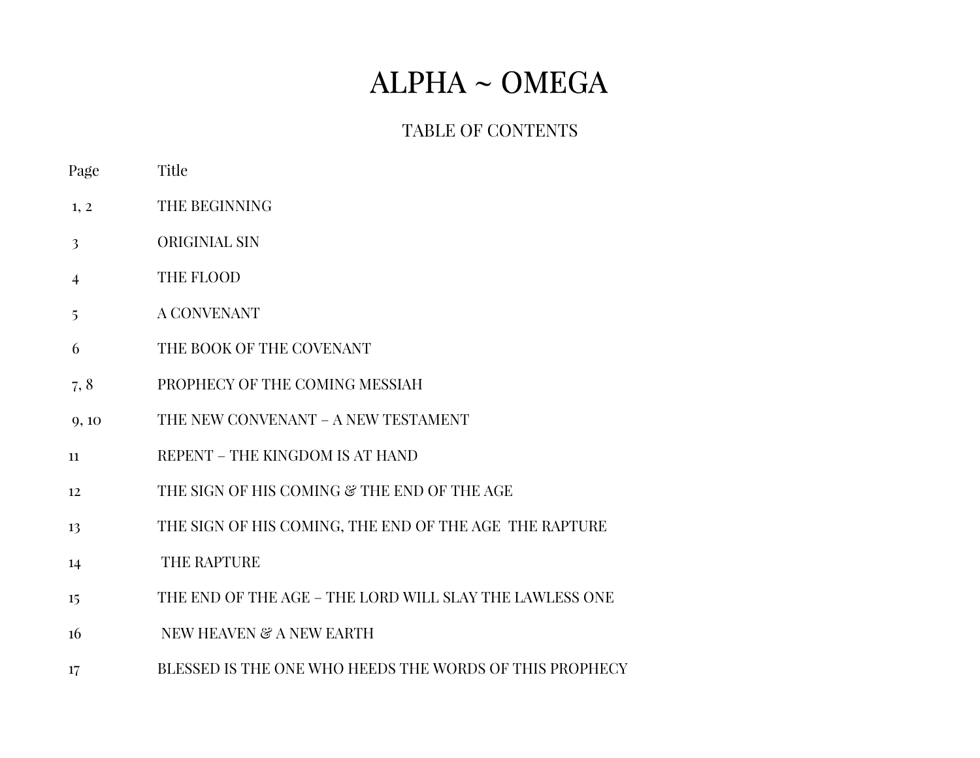### TABLE OF CONTENTS

- Page Title
- 1, 2 THE BEGINNING
- 3 ORIGINIAL SIN
- 4 THE FLOOD
- 5 A CONVENANT
- 6 THE BOOK OF THE COVENANT
- 7, 8 PROPHECY OF THE COMING MESSIAH
- 9, 10 THE NEW CONVENANT A NEW TESTAMENT
- 11 REPENT THE KINGDOM IS AT HAND
- 12 THE SIGN OF HIS COMING & THE END OF THE AGE
- 13 THE SIGN OF HIS COMING, THE END OF THE AGE THE RAPTURE
- 14 THE RAPTURE
- 15 THE END OF THE AGE THE LORD WILL SLAY THE LAWLESS ONE
- 16 NEW HEAVEN & A NEW EARTH
- 17 BLESSED IS THE ONE WHO HEEDS THE WORDS OF THIS PROPHECY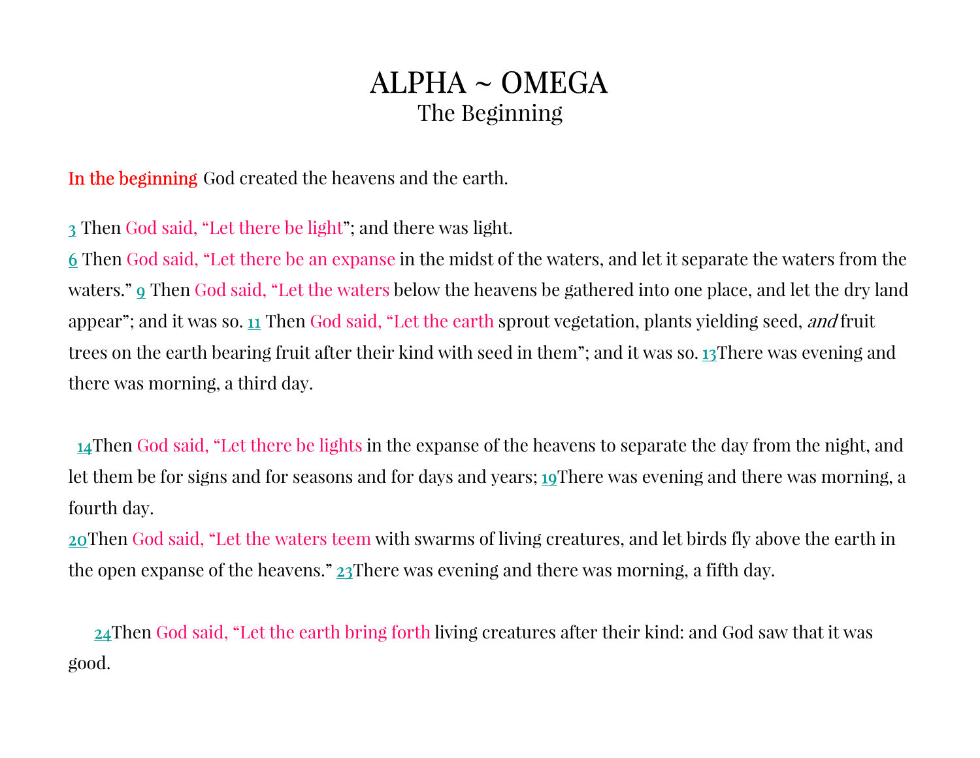### ALPHA ~ OMEGA The Beginning

In the beginning God created the heavens and the earth.

3 Then God said, "Let there be light"; and there was light.

6 Then God said, "Let there be an expanse in the midst of the waters, and let it separate the waters from the waters." **9** Then God said, "Let the waters below the heavens be gathered into one place, and let the dry land appear"; and it was so. 11 Then God said, "Let the earth sprout vegetation, plants yielding seed, and fruit trees on the earth bearing fruit after their kind with seed in them"; and it was so. 13There was evening and there was morning, a third day.

14Then God said, "Let there be lights in the expanse of the heavens to separate the day from the night, and let them be for signs and for seasons and for days and years; 19There was evening and there was morning, a fourth day.

20Then God said, "Let the waters teem with swarms of living creatures, and let birds fly above the earth in the open expanse of the heavens." 23There was evening and there was morning, a fifth day.

24Then God said, "Let the earth bring forth living creatures after their kind: and God saw that it was good.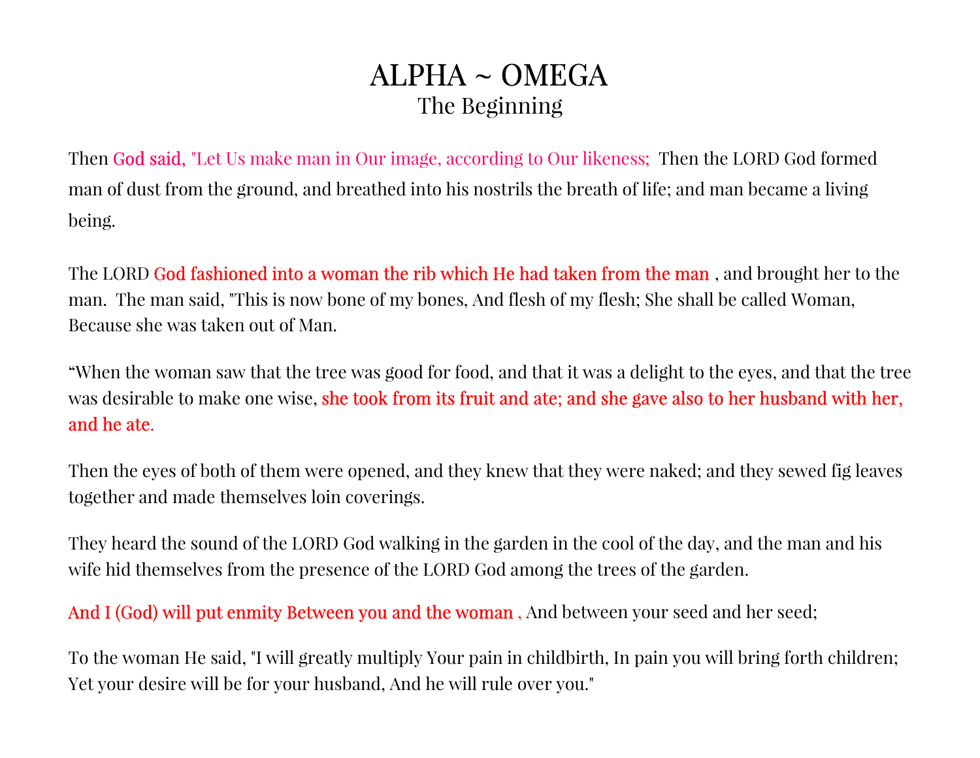### ALPHA ~ OMEGA The Beginning

Then God said, "Let Us make man in Our image, according to Our likeness; Then the LORD God formed man of dust from the ground, and breathed into his nostrils the breath of life; and man became a living being.

The LORD God fashioned into a woman the rib which He had taken from the man, and brought her to the man. The man said, "This is now bone of my bones, And flesh of my flesh; She shall be called Woman, Because she was taken out of Man.

"When the woman saw that the tree was good for food, and that it was a delight to the eyes, and that the tree was desirable to make one wise, she took from its fruit and ate; and she gave also to her husband with her, and he ate.

Then the eyes of both of them were opened, and they knew that they were naked; and they sewed fig leaves together and made themselves loin coverings.

They heard the sound of the LORD God walking in the garden in the cool of the day, and the man and his wife hid themselves from the presence of the LORD God among the trees of the garden.

And I (God) will put enmity Between you and the woman, And between your seed and her seed;

To the woman He said, "I will greatly multiply Your pain in childbirth, In pain you will bring forth children; Yet your desire will be for your husband, And he will rule over you."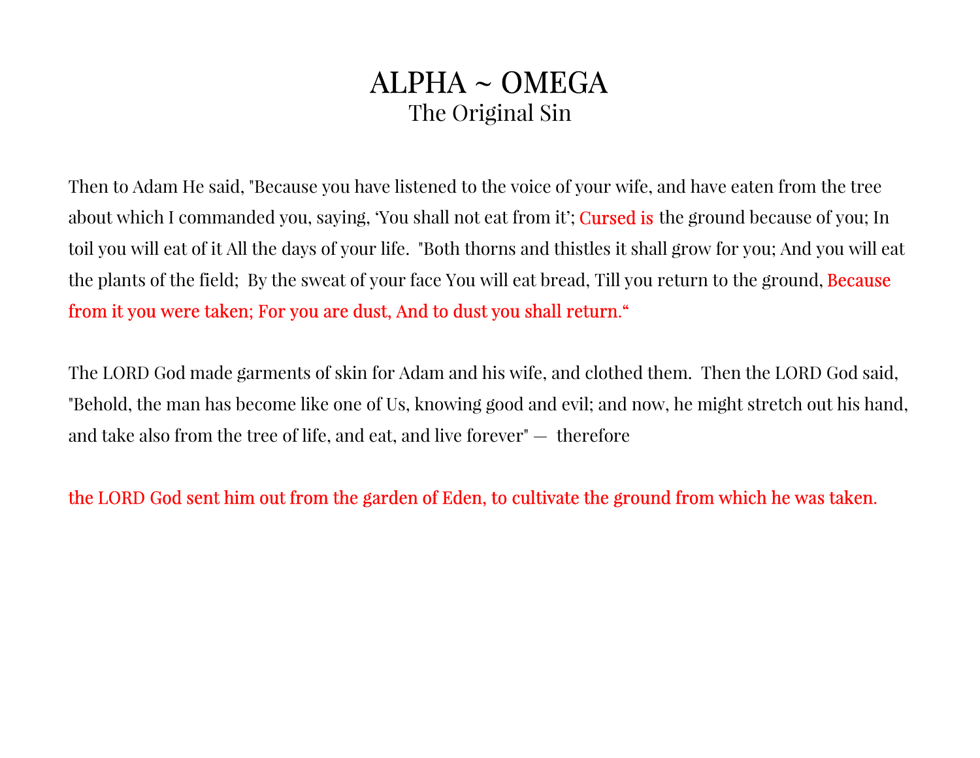### ALPHA ~ OMEGA The Original Sin

Then to Adam He said, "Because you have listened to the voice of your wife, and have eaten from the tree about which I commanded you, saying, 'You shall not eat from it'; Cursed is the ground because of you; In toil you will eat of it All the days of your life. "Both thorns and thistles it shall grow for you; And you will eat the plants of the field; By the sweat of your face You will eat bread, Till you return to the ground, **Because** from it you were taken; For you are dust, And to dust you shall return."

The LORD God made garments of skin for Adam and his wife, and clothed them. Then the LORD God said, "Behold, the man has become like one of Us, knowing good and evil; and now, he might stretch out his hand, and take also from the tree of life, and eat, and live forever" — therefore

the LORD God sent him out from the garden of Eden, to cultivate the ground from which he was taken.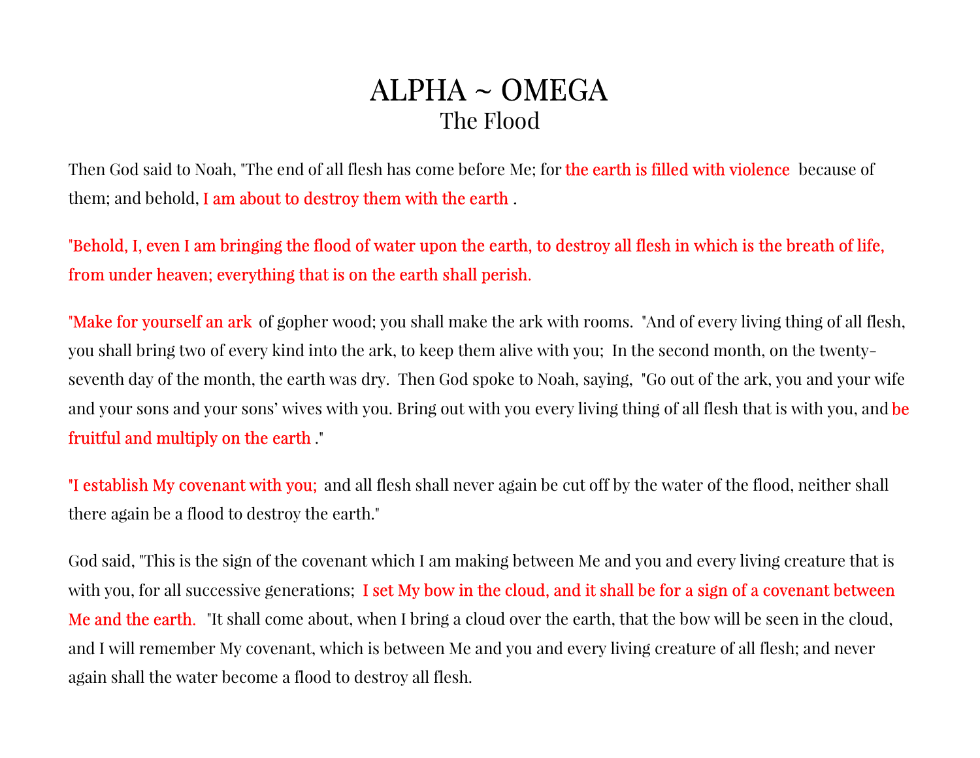### ALPHA ~ OMEGA The Flood

Then God said to Noah, "The end of all flesh has come before Me; for the earth is filled with violence because of them; and behold, I am about to destroy them with the earth.

"Behold, I, even I am bringing the flood of water upon the earth, to destroy all flesh in which is the breath of life, from under heaven; everything that is on the earth shall perish.

"Make for yourself an ark of gopher wood; you shall make the ark with rooms. "And of every living thing of all flesh, you shall bring two of every kind into the ark, to keep them alive with you; In the second month, on the twentyseventh day of the month, the earth was dry. Then God spoke to Noah, saying, "Go out of the ark, you and your wife and your sons and your sons' wives with you. Bring out with you every living thing of all flesh that is with you, and be fruitful and multiply on the earth ."

"I establish My covenant with you; and all flesh shall never again be cut off by the water of the flood, neither shall there again be a flood to destroy the earth."

God said, "This is the sign of the covenant which I am making between Me and you and every living creature that is with you, for all successive generations; I set My bow in the cloud, and it shall be for a sign of a covenant between Me and the earth. "It shall come about, when I bring a cloud over the earth, that the bow will be seen in the cloud, and I will remember My covenant, which is between Me and you and every living creature of all flesh; and never again shall the water become a flood to destroy all flesh.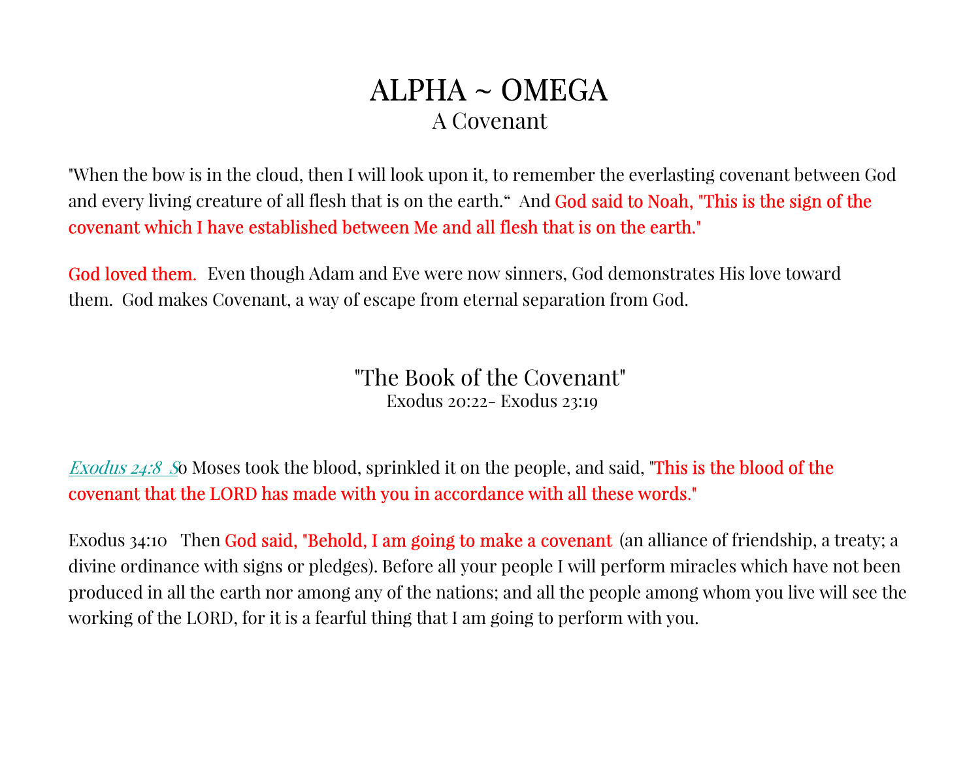### ALPHA ~ OMEGA A Covenant

"When the bow is in the cloud, then I will look upon it, to remember the everlasting covenant between God and every living creature of all flesh that is on the earth." And God said to Noah, "This is the sign of the covenant which I have established between Me and all flesh that is on the earth."

God loved them. Even though Adam and Eve were now sinners, God demonstrates His love toward them. God makes Covenant, a way of escape from eternal separation from God.

> "The Book of the Covenant" Exodus 20:22- Exodus 23:19

Exodus 24:8 <sup>S</sup>o Moses took the blood, sprinkled it on the people, and said, "This is the blood of the covenant that the LORD has made with you in accordance with all these words."

Exodus 34:10 Then God said, "Behold, I am going to make a covenant (an alliance of friendship, a treaty; a divine ordinance with signs or pledges). Before all your people I will perform miracles which have not been produced in all the earth nor among any of the nations; and all the people among whom you live will see the working of the LORD, for it is a fearful thing that I am going to perform with you.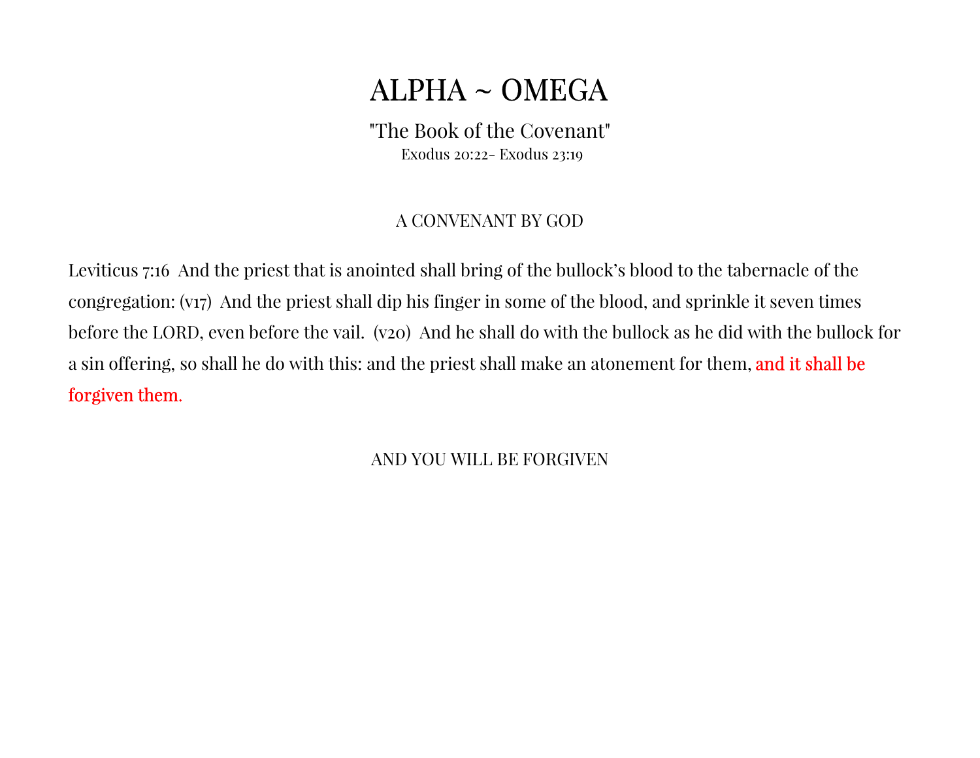"The Book of the Covenant" Exodus 20:22- Exodus 23:19

#### A CONVENANT BY GOD

Leviticus 7:16 And the priest that is anointed shall bring of the bullock's blood to the tabernacle of the congregation: (v17) And the priest shall dip his finger in some of the blood, and sprinkle it seven times before the LORD, even before the vail. (v20) And he shall do with the bullock as he did with the bullock for a sin offering, so shall he do with this: and the priest shall make an atonement for them, and it shall be forgiven them.

AND YOU WILL BE FORGIVEN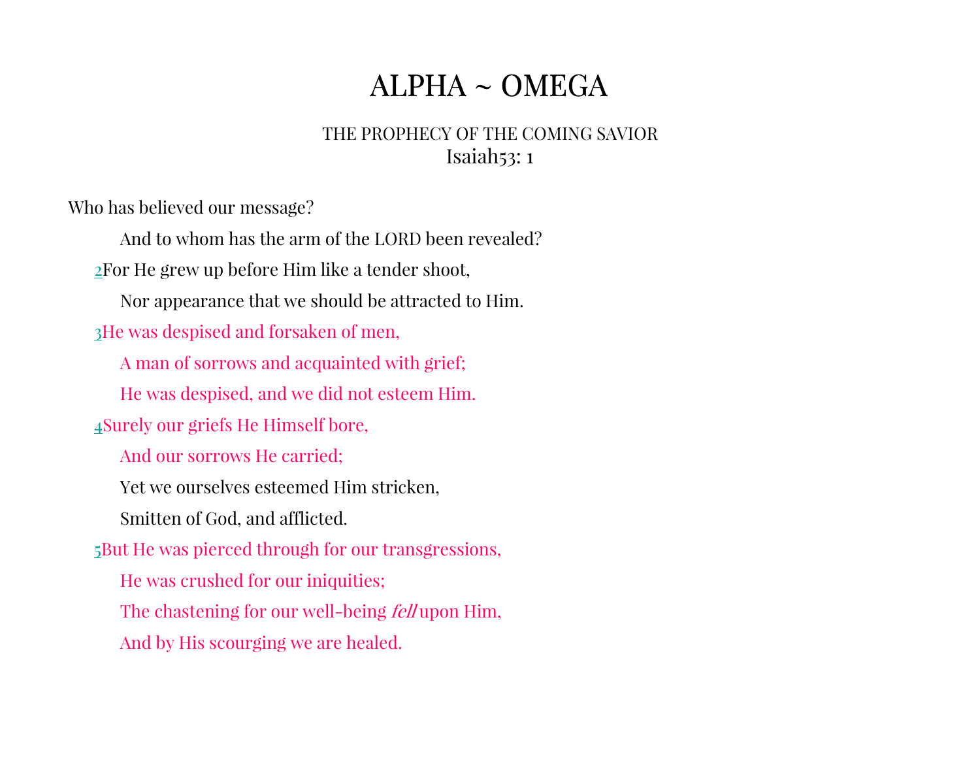### THE PROPHECY OF THE COMING SAVIOR Isaiah53: 1

Who has believed our message?

And to whom has the arm of the LORD been revealed? 2For He grew up before Him like a tender shoot,

Nor appearance that we should be attracted to Him.

3He was despised and forsaken of men,

A man of sorrows and acquainted with grief;

He was despised, and we did not esteem Him.

4Surely our griefs He Himself bore,

And our sorrows He carried;

Yet we ourselves esteemed Him stricken,

Smitten of God, and afflicted.

5But He was pierced through for our transgressions,

He was crushed for our iniquities;

The chastening for our well-being *fell* upon Him,

And by His scourging we are healed.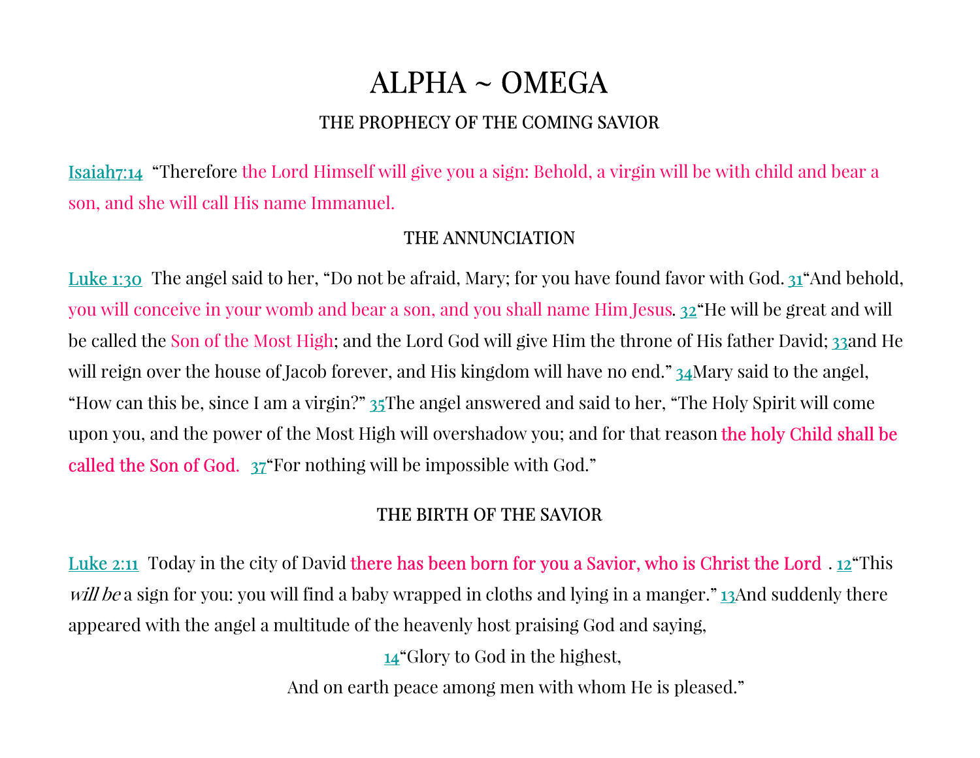### THE PROPHECY OF THE COMING SAVIOR

Isaiah7:14 "Therefore the Lord Himself will give you a sign: Behold, a virgin will be with child and bear a son, and she will call His name Immanuel.

#### THE ANNUNCIATION

Luke 1:30 The angel said to her, "Do not be afraid, Mary; for you have found favor with God. 31 And behold, you will conceive in your womb and bear a son, and you shall name Him Jesus. 32"He will be great and will be called the Son of the Most High; and the Lord God will give Him the throne of His father David; 33and He will reign over the house of Jacob forever, and His kingdom will have no end." 34Mary said to the angel, "How can this be, since I am a virgin?" 35The angel answered and said to her, "The Holy Spirit will come upon you, and the power of the Most High will overshadow you; and for that reason the holy Child shall be called the Son of God. 37"For nothing will be impossible with God."

### THE BIRTH OF THE SAVIOR

Luke 2:11 Today in the city of David there has been born for you a Savior, who is Christ the Lord . 12 "This will be a sign for you: you will find a baby wrapped in cloths and lying in a manger." 13And suddenly there appeared with the angel a multitude of the heavenly host praising God and saying,

14"Glory to God in the highest,

And on earth peace among men with whom He is pleased."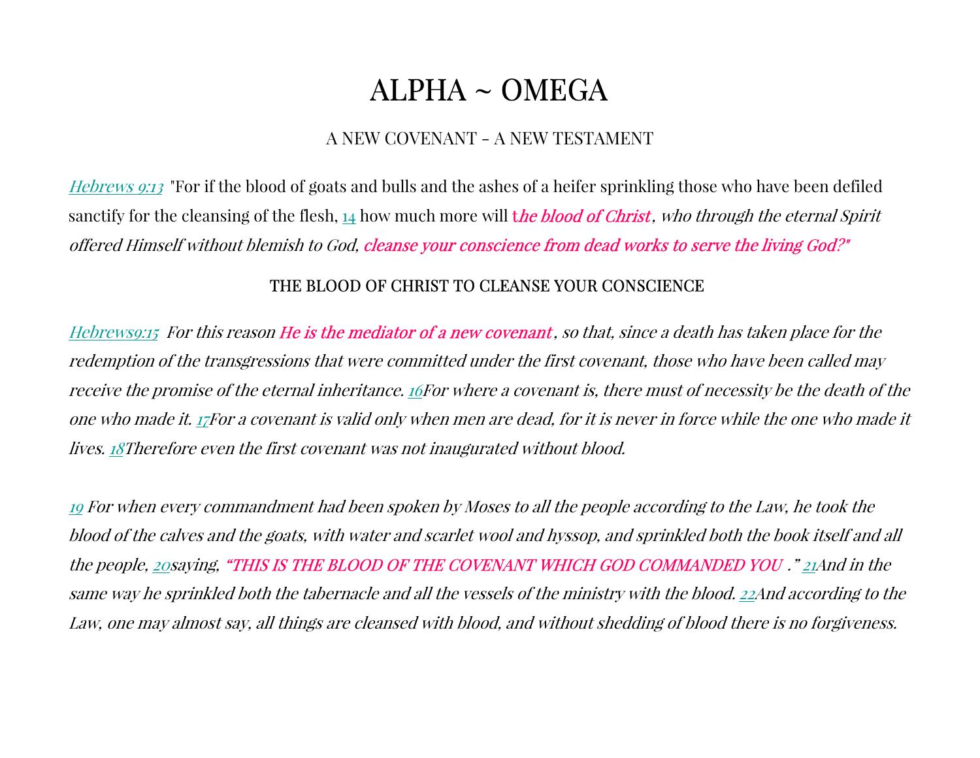#### A NEW COVENANT - A NEW TESTAMENT

Hebrews 9:13 "For if the blood of goats and bulls and the ashes of a heifer sprinkling those who have been defiled sanctify for the cleansing of the flesh,  $\frac{14}{4}$  how much more will the blood of Christ, who through the eternal Spirit offered Himself without blemish to God, cleanse your conscience from dead works to serve the living God?"

#### THE BLOOD OF CHRIST TO CLEANSE YOUR CONSCIENCE

Hebrews9:15 For this reason He is the mediator of a new covenant, so that, since a death has taken place for the redemption of the transgressions that were committed under the first covenant, those who have been called may receive the promise of the eternal inheritance. 16For where a covenant is, there must of necessity be the death of the one who made it. 17For a covenant is valid only when men are dead, for it is never in force while the one who made it lives. 18Therefore even the first covenant was not inaugurated without blood.

19 For when every commandment had been spoken by Moses to all the people according to the Law, he took the blood of the calves and the goats, with water and scarlet wool and hyssop, and sprinkled both the book itself and all the people, 20saying, "THIS IS THE BLOOD OF THE COVENANT WHICH GOD COMMANDED YOU ." 21And in the same way he sprinkled both the tabernacle and all the vessels of the ministry with the blood. 22And according to the Law, one may almost say, all things are cleansed with blood, and without shedding of blood there is no forgiveness.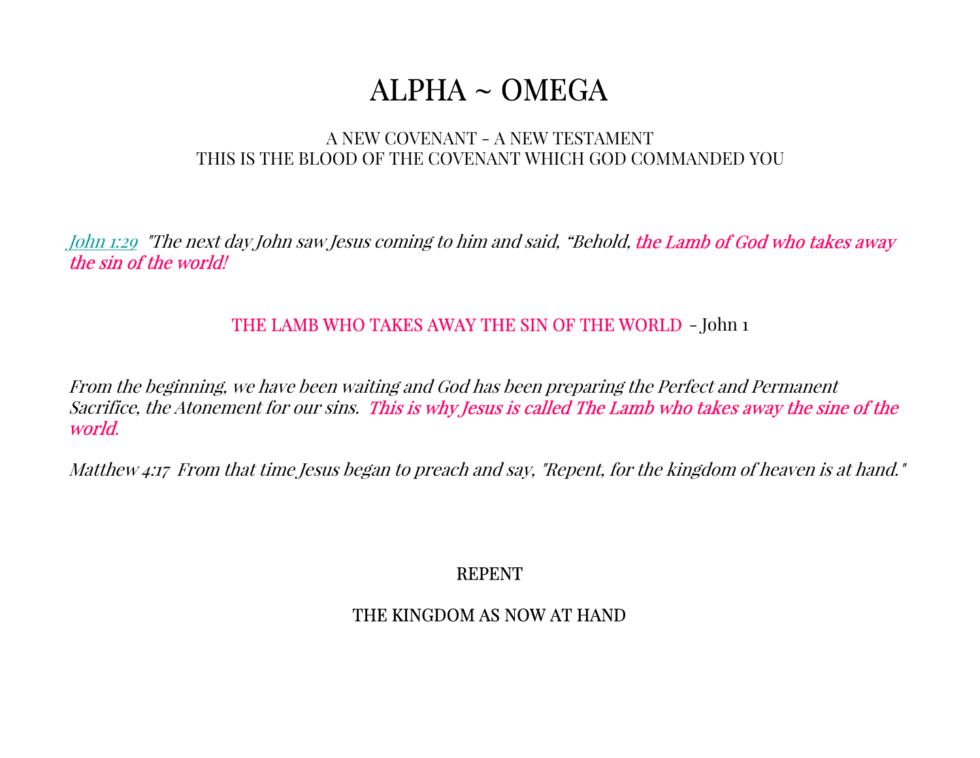#### A NEW COVENANT - A NEW TESTAMENT THIS IS THE BLOOD OF THE COVENANT WHICH GOD COMMANDED YOU

John 1:29 "The next day John saw Jesus coming to him and said, "Behold, the Lamb of God who takes away the sin of the world!

#### THE LAMB WHO TAKES AWAY THE SIN OF THE WORLD - John 1

From the beginning, we have been waiting and God has been preparing the Perfect and Permanent Sacrifice, the Atonement for our sins. This is why Jesus is called The Lamb who takes away the sine of the world.

Matthew 4:17 From that time Jesus began to preach and say, "Repent, for the kingdom of heaven is at hand."

#### REPENT

#### THE KINGDOM AS NOW AT HAND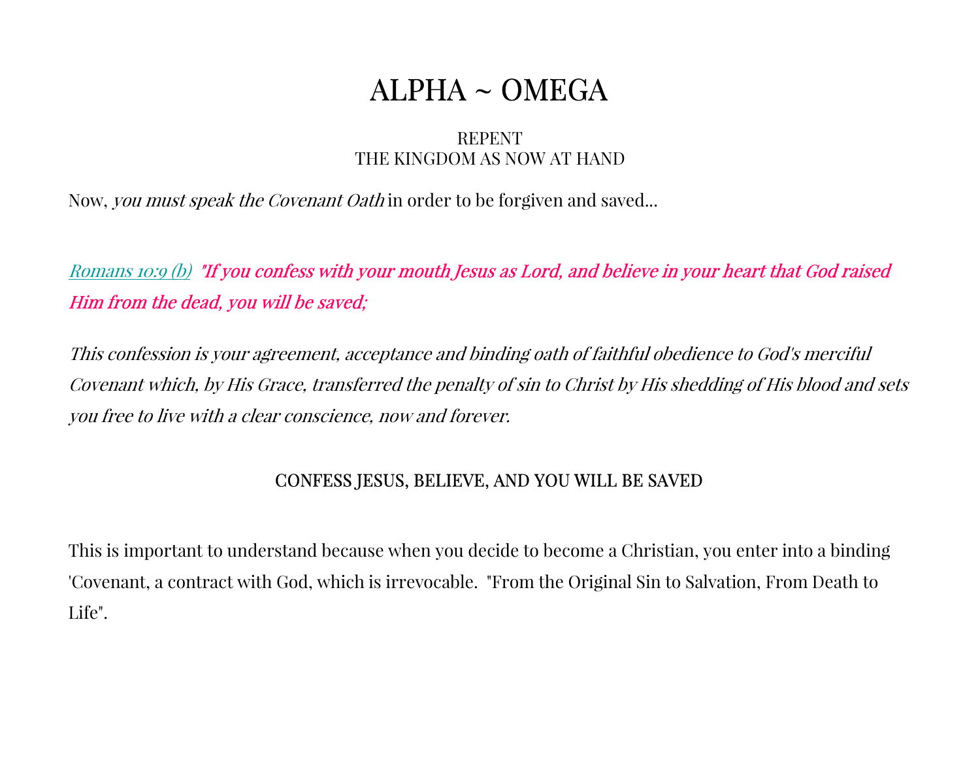#### REPENT THE KINGDOM AS NOW AT HAND

Now, *you must speak the Covenant Oath* in order to be forgiven and saved...

Romans 10:9 (b) "If you confess with your mouth Jesus as Lord, and believe in your heart that God raised Him from the dead, you will be saved;

This confession is your agreement, acceptance and binding oath of faithful obedience to God's merciful Covenant which, by His Grace, transferred the penalty of sin to Christ by His shedding of His blood and sets you free to live with a clear conscience, now and forever.

#### CONFESS JESUS, BELIEVE, AND YOU WILL BE SAVED

This is important to understand because when you decide to become a Christian, you enter into a binding 'Covenant, a contract with God, which is irrevocable. "From the Original Sin to Salvation, From Death to Life".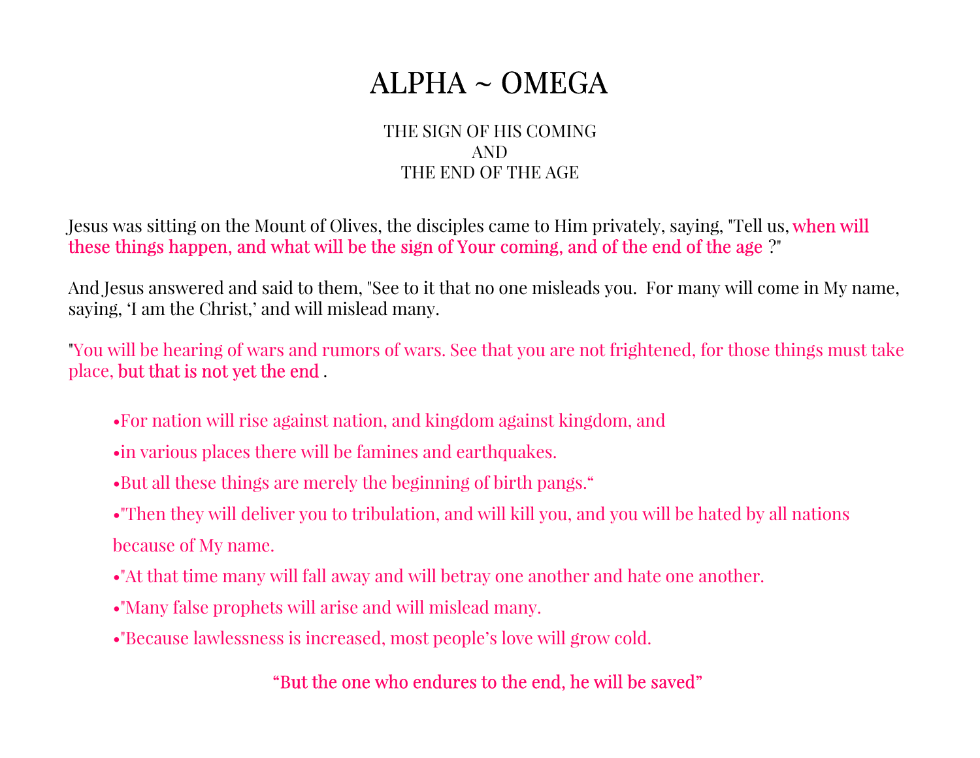#### THE SIGN OF HIS COMING AND THE END OF THE AGE

Jesus was sitting on the Mount of Olives, the disciples came to Him privately, saying, "Tell us, when will these things happen, and what will be the sign of Your coming, and of the end of the age ?"

And Jesus answered and said to them, "See to it that no one misleads you. For many will come in My name, saying, 'I am the Christ,' and will mislead many.

"You will be hearing of wars and rumors of wars. See that you are not frightened, for those things must take place, but that is not yet the end .

- •For nation will rise against nation, and kingdom against kingdom, and
- •in various places there will be famines and earthquakes.
- •But all these things are merely the beginning of birth pangs."
- •"Then they will deliver you to tribulation, and will kill you, and you will be hated by all nations because of My name.
- •"At that time many will fall away and will betray one another and hate one another.
- •"Many false prophets will arise and will mislead many.
- •"Because lawlessness is increased, most people's love will grow cold.

### "But the one who endures to the end, he will be saved"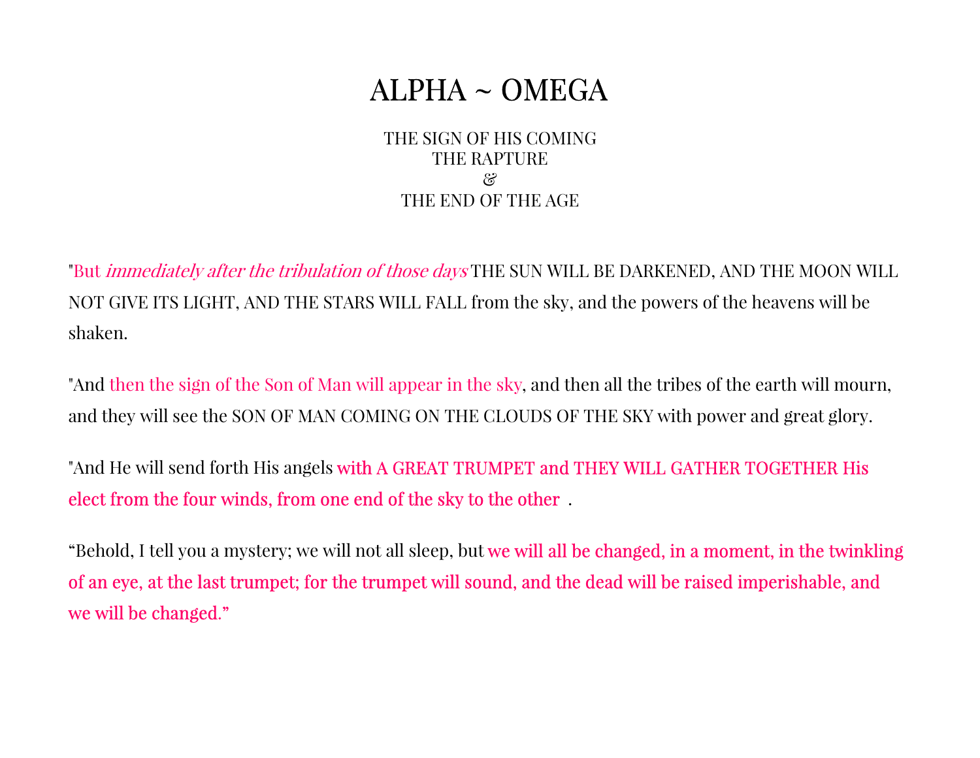THE SIGN OF HIS COMING THE RAPTURE & THE END OF THE AGE

"But *immediately after the tribulation of those days* THE SUN WILL BE DARKENED, AND THE MOON WILL NOT GIVE ITS LIGHT, AND THE STARS WILL FALL from the sky, and the powers of the heavens will be shaken.

"And then the sign of the Son of Man will appear in the sky, and then all the tribes of the earth will mourn, and they will see the SON OF MAN COMING ON THE CLOUDS OF THE SKY with power and great glory.

"And He will send forth His angels with A GREAT TRUMPET and THEY WILL GATHER TOGETHER His elect from the four winds, from one end of the sky to the other .

"Behold, I tell you a mystery; we will not all sleep, but we will all be changed, in a moment, in the twinkling of an eye, at the last trumpet; for the trumpet will sound, and the dead will be raised imperishable, and we will be changed."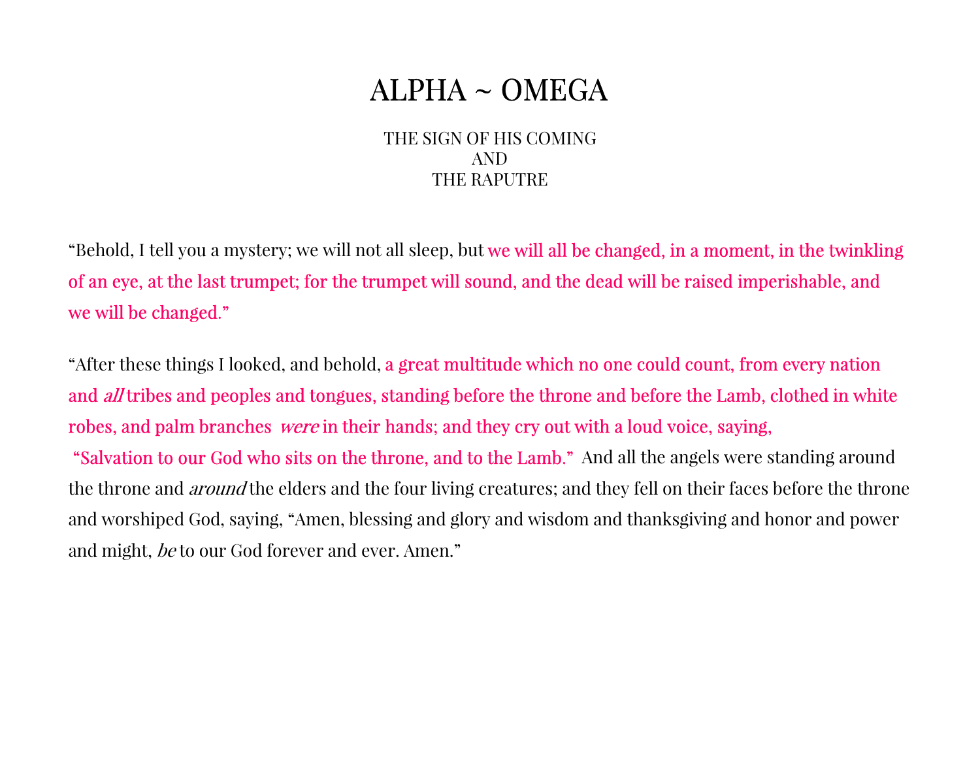THE SIGN OF HIS COMING AND THE RAPUTRE

"Behold, I tell you a mystery; we will not all sleep, but we will all be changed, in a moment, in the twinkling of an eye, at the last trumpet; for the trumpet will sound, and the dead will be raised imperishable, and we will be changed."

"After these things I looked, and behold, a great multitude which no one could count, from every nation and *all* tribes and peoples and tongues, standing before the throne and before the Lamb, clothed in white robes, and palm branches were in their hands; and they cry out with a loud voice, saying,

"Salvation to our God who sits on the throne, and to the Lamb." And all the angels were standing around the throne and *around* the elders and the four living creatures; and they fell on their faces before the throne and worshiped God, saying, "Amen, blessing and glory and wisdom and thanksgiving and honor and power and might, be to our God forever and ever. Amen."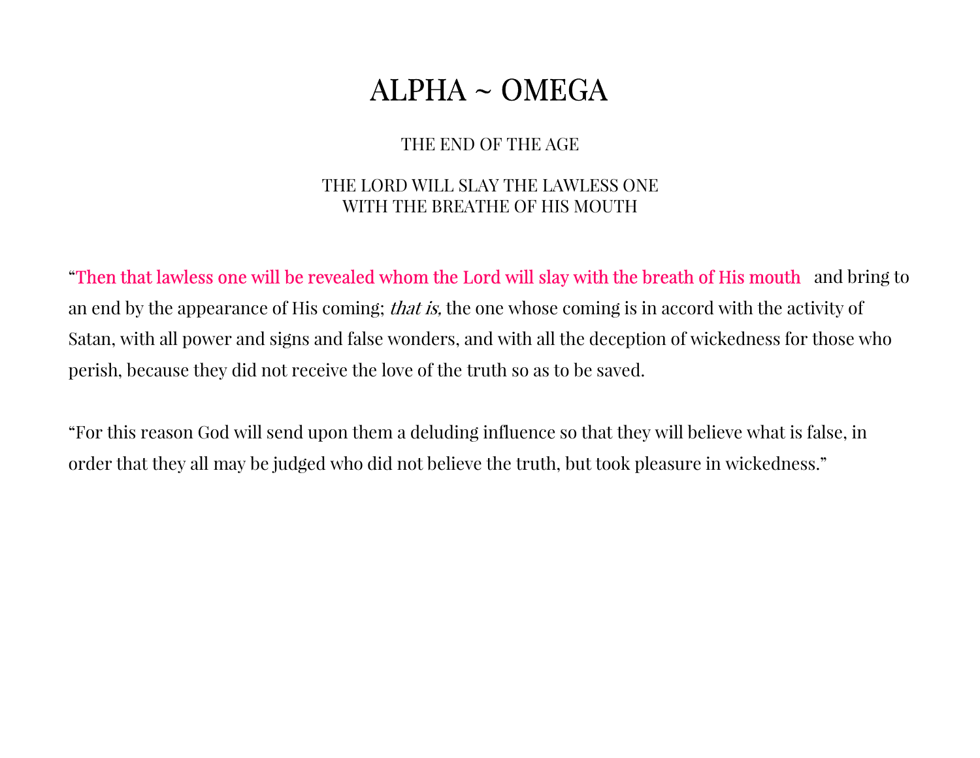THE END OF THE AGE

#### THE LORD WILL SLAY THE LAWLESS ONE WITH THE BREATHE OF HIS MOUTH

"Then that lawless one will be revealed whom the Lord will slay with the breath of His mouth and bring to an end by the appearance of His coming; *that is*, the one whose coming is in accord with the activity of Satan, with all power and signs and false wonders, and with all the deception of wickedness for those who perish, because they did not receive the love of the truth so as to be saved.

"For this reason God will send upon them a deluding influence so that they will believe what is false, in order that they all may be judged who did not believe the truth, but took pleasure in wickedness."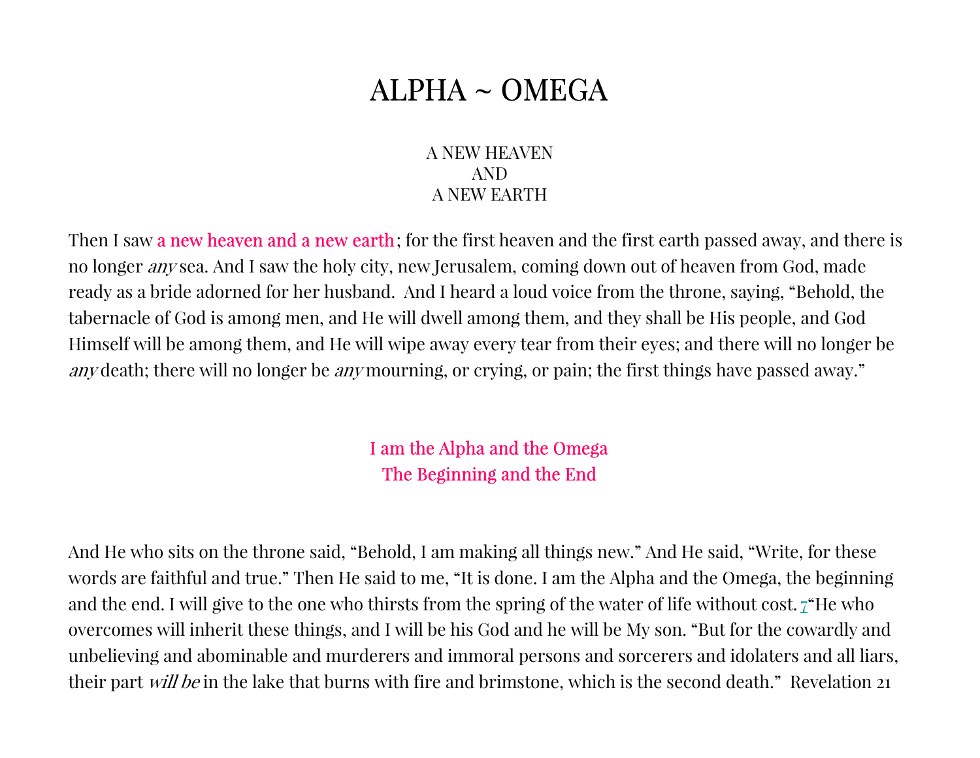#### A NEW HEAVEN AND A NEW EARTH

Then I saw a new heaven and a new earth; for the first heaven and the first earth passed away, and there is no longer any sea. And I saw the holy city, new Jerusalem, coming down out of heaven from God, made ready as a bride adorned for her husband. And I heard a loud voice from the throne, saying, "Behold, the tabernacle of God is among men, and He will dwell among them, and they shall be His people, and God Himself will be among them, and He will wipe away every tear from their eyes; and there will no longer be any death; there will no longer be any mourning, or crying, or pain; the first things have passed away."

> I am the Alpha and the Omega The Beginning and the End

And He who sits on the throne said, "Behold, I am making all things new." And He said, "Write, for these words are faithful and true." Then He said to me, "It is done. I am the Alpha and the Omega, the beginning and the end. I will give to the one who thirsts from the spring of the water of life without cost.  $\vec{\tau}$  He who overcomes will inherit these things, and I will be his God and he will be My son. "But for the cowardly and unbelieving and abominable and murderers and immoral persons and sorcerers and idolaters and all liars, their part *will be* in the lake that burns with fire and brimstone, which is the second death." Revelation 21